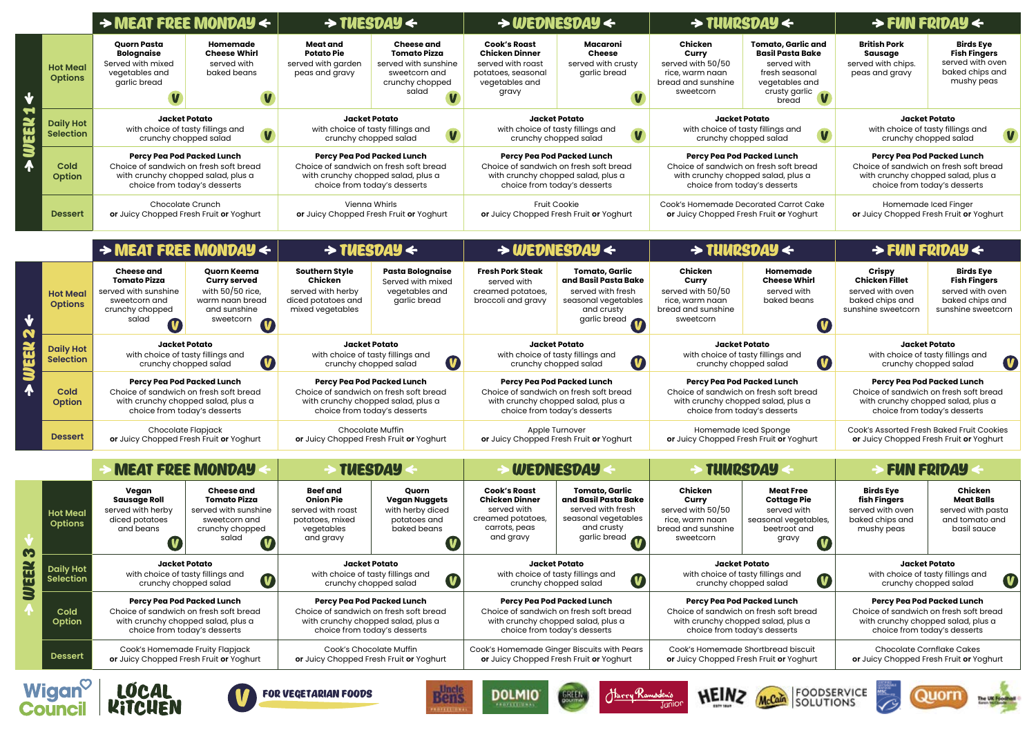|                                        |                                      |                                                                                                                                            | $\rightarrow$ MEAT FREE MONDAY $\leftarrow$                                                                 |                                                                                                                                            | $\rightarrow$ TUESDAY $\leftarrow$                                                                            |                                                                                                                                            | $\rightarrow$ WEDNESDAY $\leftarrow$                                                                                    |                                                                                                                                            | $\rightarrow$ TUURSDAY $\leftarrow$                                                                                               | $\rightarrow$ FUN FRIDAY $\leftarrow$                                                                                               |                                                                                |
|----------------------------------------|--------------------------------------|--------------------------------------------------------------------------------------------------------------------------------------------|-------------------------------------------------------------------------------------------------------------|--------------------------------------------------------------------------------------------------------------------------------------------|---------------------------------------------------------------------------------------------------------------|--------------------------------------------------------------------------------------------------------------------------------------------|-------------------------------------------------------------------------------------------------------------------------|--------------------------------------------------------------------------------------------------------------------------------------------|-----------------------------------------------------------------------------------------------------------------------------------|-------------------------------------------------------------------------------------------------------------------------------------|--------------------------------------------------------------------------------|
| S                                      | <b>Hot Meal</b><br><b>Options</b>    | <b>Quorn Pasta</b><br>Bolognaise<br>Served with mixed<br>vegetables and<br>garlic bread                                                    | Homemade<br><b>Cheese Whirl</b><br>served with<br>baked beans                                               | Meat and<br><b>Potato Pie</b><br>served with garden<br>peas and gravy                                                                      | <b>Cheese and</b><br><b>Tomato Pizza</b><br>served with sunshine<br>sweetcorn and<br>crunchy chopped<br>salad | <b>Cook's Roast</b><br><b>Chicken Dinner</b><br>served with roast<br>potatoes, seasonal<br>vegetables and<br>gravy                         | Macaroni<br><b>Cheese</b><br>served with crusty<br>garlic bread                                                         | Chicken<br>Curry<br>served with 50/50<br>rice, warm naan<br>bread and sunshine<br>sweetcorn                                                | <b>Tomato, Garlic and</b><br><b>Basil Pasta Bake</b><br>served with<br>fresh seasonal<br>vegetables and<br>crusty garlic<br>bread | <b>British Pork</b><br>Sausage<br>served with chips.<br>peas and gravy                                                              | <b>Birds E</b><br><b>Fish Find</b><br>served witl<br>baked chip<br>mushy p     |
|                                        | <b>Daily Hot</b><br><b>Selection</b> | <b>Jacket Potato</b><br>with choice of tasty fillings and<br>$\overline{\mathbf{V}}$<br>crunchy chopped salad                              |                                                                                                             | Jacket Potato<br>with choice of tasty fillings and<br>crunchy chopped salad                                                                |                                                                                                               | <b>Jacket Potato</b><br>with choice of tasty fillings and<br>crunchy chopped salad                                                         |                                                                                                                         | <b>Jacket Potato</b><br>with choice of tasty fillings and<br>V<br>crunchy chopped salad                                                    |                                                                                                                                   | <b>Jacket Potato</b><br>with choice of tasty fillings an<br>crunchy chopped salad                                                   |                                                                                |
|                                        | <b>Cold</b><br><b>Option</b>         | Percy Pea Pod Packed Lunch<br>Choice of sandwich on fresh soft bread<br>with crunchy chopped salad, plus a<br>choice from today's desserts |                                                                                                             | Percy Pea Pod Packed Lunch<br>Choice of sandwich on fresh soft bread<br>with crunchy chopped salad, plus a<br>choice from today's desserts |                                                                                                               | Percy Pea Pod Packed Lunch<br>Choice of sandwich on fresh soft bread<br>with crunchy chopped salad, plus a<br>choice from today's desserts |                                                                                                                         | Percy Pea Pod Packed Lunch<br>Choice of sandwich on fresh soft bread<br>with crunchy chopped salad, plus a<br>choice from today's desserts |                                                                                                                                   | Percy Pea Pod Packed Lunch<br>Choice of sandwich on fresh soft b<br>with crunchy chopped salad, plu<br>choice from today's desserts |                                                                                |
|                                        | <b>Dessert</b>                       | Chocolate Crunch<br>or Juicy Chopped Fresh Fruit or Yoghurt                                                                                |                                                                                                             | Vienna Whirls<br>or Juicy Chopped Fresh Fruit or Yoghurt                                                                                   |                                                                                                               | <b>Fruit Cookie</b><br>or Juicy Chopped Fresh Fruit or Yoghurt                                                                             |                                                                                                                         | Cook's Homemade Decorated Carrot Cake<br>or Juicy Chopped Fresh Fruit or Yoghurt                                                           |                                                                                                                                   | Homemade Iced Finger<br>or Juicy Chopped Fresh Fruit or Yo                                                                          |                                                                                |
|                                        |                                      |                                                                                                                                            | $\rightarrow$ MEAT FREE MONDAY $\leftarrow$                                                                 |                                                                                                                                            | $\rightarrow$ TUESDAY $\leftarrow$                                                                            |                                                                                                                                            | $\rightarrow$ WEDNESDAY $\leftarrow$                                                                                    |                                                                                                                                            | $\rightarrow$ TUURSDAY $\leftarrow$                                                                                               | $\rightarrow$ FUN FRIDAY $\leftarrow$                                                                                               |                                                                                |
| N<br>$ \mathbf{u} $<br>$\blacklozenge$ | <b>Hot Meal</b><br><b>Options</b>    | Cheese and<br>Tomato Pizza<br>served with sunshine<br>sweetcorn and<br>crunchy chopped<br>salad                                            | Quorn Keema<br><b>Curry served</b><br>with $50/50$ rice,<br>warm naan bread<br>and sunshine<br>sweetcorn    | <b>Southern Style</b><br>Chicken<br>served with herby<br>diced potatoes and<br>mixed vegetables                                            | <b>Pasta Bolognaise</b><br>Served with mixed<br>vegetables and<br>garlic bread                                | Fresh Pork Steak<br>served with<br>creamed potatoes,<br>broccoli and gravy                                                                 | Tomato, Garlic<br>and Basil Pasta Bake<br>served with fresh<br>seasonal vegetables<br>and crusty<br>garlic bread        | Chicken<br>Curry<br>served with 50/50<br>rice, warm naan<br>bread and sunshine<br>sweetcorn                                                | Homemade<br><b>Cheese Whirl</b><br>served with<br>baked beans                                                                     | Crispy<br><b>Chicken Fillet</b><br>served with oven<br>baked chips and<br>sunshine sweetcorr                                        | <b>Birds E</b><br><b>Fish Find</b><br>served witl<br>baked chip<br>sunshine sw |
|                                        | <b>Daily Hot</b><br><b>Selection</b> | Jacket Potato<br>with choice of tasty fillings and<br>$\bullet$<br>crunchy chopped salad                                                   |                                                                                                             | <b>Jacket Potato</b><br>with choice of tasty fillings and<br>$\bullet$<br>crunchy chopped salad                                            |                                                                                                               | Jacket Potato<br>with choice of tasty fillings and<br>$\bullet$<br>crunchy chopped salad                                                   |                                                                                                                         | <b>Jacket Potato</b><br>with choice of tasty fillings and<br>$\bullet$<br>crunchy chopped salad                                            |                                                                                                                                   | <b>Jacket Potato</b><br>with choice of tasty fillings an<br>crunchy chopped salad                                                   |                                                                                |
|                                        | Cold<br><b>Option</b>                | Percy Pea Pod Packed Lunch<br>Choice of sandwich on fresh soft bread<br>with crunchy chopped salad, plus a<br>choice from today's desserts |                                                                                                             | Percy Pea Pod Packed Lunch<br>Choice of sandwich on fresh soft bread<br>with crunchy chopped salad, plus a<br>choice from today's desserts |                                                                                                               | Percy Pea Pod Packed Lunch<br>Choice of sandwich on fresh soft bread<br>with crunchy chopped salad, plus a<br>choice from today's desserts |                                                                                                                         | Percy Pea Pod Packed Lunch<br>Choice of sandwich on fresh soft bread<br>with crunchy chopped salad, plus a<br>choice from today's desserts |                                                                                                                                   | Percy Pea Pod Packed Lunch<br>Choice of sandwich on fresh soft k<br>with crunchy chopped salad, plu<br>choice from today's desserts |                                                                                |
|                                        | <b>Dessert</b>                       | Chocolate Flapjack<br>or Juicy Chopped Fresh Fruit or Yoghurt                                                                              |                                                                                                             | <b>Chocolate Muffin</b><br>or Juicy Chopped Fresh Fruit or Yoghurt                                                                         |                                                                                                               | Apple Turnover<br>or Juicy Chopped Fresh Fruit or Yoghurt                                                                                  |                                                                                                                         | Homemade Iced Sponge<br>or Juicy Chopped Fresh Fruit or Yoghurt                                                                            |                                                                                                                                   | Cook's Assorted Fresh Baked Fruit C<br>or Juicy Chopped Fresh Fruit or Yo                                                           |                                                                                |
|                                        |                                      |                                                                                                                                            | <b>MEAT FREE MONDAY</b>                                                                                     | <b>TUESDAY</b>                                                                                                                             |                                                                                                               | <b>WEDNESDAY</b>                                                                                                                           |                                                                                                                         | <b>TUURSDAY</b>                                                                                                                            |                                                                                                                                   | <b>FUN FRIDAY</b>                                                                                                                   |                                                                                |
| S<br>Y<br><b>UJEE</b>                  | <b>Hot Meal</b><br><b>Options</b>    | Vegan<br><b>Sausage Roll</b><br>served with herby<br>diced potatoes<br>and beans<br>$\blacksquare$                                         | <b>Cheese and</b><br>Tomato Pizza<br>served with sunshine<br>sweetcorn and<br>crunchy chopped<br>salad<br>U | Beef and<br><b>Onion Pie</b><br>served with roast<br>potatoes, mixed<br>vegetables<br>and gravy                                            | Quorn<br><b>Vegan Nuggets</b><br>with herby diced<br>potatoes and<br>baked beans<br>$\blacksquare$            | <b>Cook's Roast</b><br><b>Chicken Dinner</b><br>served with<br>creamed potatoes,<br>carrots, peas<br>and gravy                             | <b>Tomato, Garlic</b><br>and Basil Pasta Bake<br>served with fresh<br>seasonal vegetables<br>and crusty<br>garlic bread | Chicken<br>Curry<br>served with 50/50<br>rice, warm naan<br>bread and sunshine<br>sweetcorn                                                | <b>Meat Free</b><br><b>Cottage Pie</b><br>served with<br>seasonal vegetables,<br>beetroot and<br>gravy<br>U                       | <b>Birds Eye</b><br>fish Fingers<br>served with oven<br>baked chips and<br>mushy peas                                               | Chick<br><b>Meat Bo</b><br>served with<br>and tomat<br>basil sa                |
|                                        | <b>Daily Hot</b><br><b>Selection</b> | <b>Jacket Potato</b><br>with choice of tasty fillings and<br>U<br>crunchy chopped salad                                                    |                                                                                                             | <b>Jacket Potato</b><br>with choice of tasty fillings and<br>$\bullet$<br>crunchy chopped salad                                            |                                                                                                               | <b>Jacket Potato</b><br>with choice of tasty fillings and<br>$\bullet$<br>crunchy chopped salad                                            |                                                                                                                         | <b>Jacket Potato</b><br>with choice of tasty fillings and<br>$\bullet$<br>crunchy chopped salad                                            |                                                                                                                                   | <b>Jacket Potato</b><br>with choice of tasty fillings an<br>crunchy chopped salad                                                   |                                                                                |
|                                        | Cold<br>Option                       | Percy Pea Pod Packed Lunch<br>Choice of sandwich on fresh soft bread<br>with crunchy chopped salad, plus a<br>choice from today's desserts |                                                                                                             | Percy Pea Pod Packed Lunch<br>Choice of sandwich on fresh soft bread<br>with crunchy chopped salad, plus a<br>choice from today's desserts |                                                                                                               | Percy Pea Pod Packed Lunch<br>Choice of sandwich on fresh soft bread<br>with crunchy chopped salad, plus a<br>choice from today's desserts |                                                                                                                         | Percy Pea Pod Packed Lunch<br>Choice of sandwich on fresh soft bread<br>with crunchy chopped salad, plus a<br>choice from today's desserts |                                                                                                                                   | Percy Pea Pod Packed Lunch<br>Choice of sandwich on fresh soft b<br>with crunchy chopped salad, plu<br>choice from today's desserts |                                                                                |
|                                        | <b>Dessert</b>                       | Cook's Homemade Fruity Flapjack<br>or Juicy Chopped Fresh Fruit or Yoghurt                                                                 |                                                                                                             | Cook's Chocolate Muffin<br>or Juicy Chopped Fresh Fruit or Yoghurt                                                                         |                                                                                                               | Cook's Homemade Ginger Biscuits with Pears<br>or Juicy Chopped Fresh Fruit or Yoghurt                                                      |                                                                                                                         | Cook's Homemade Shortbread biscuit<br>or Juicy Chopped Fresh Fruit or Yoghurt                                                              |                                                                                                                                   | <b>Chocolate Cornflake Cakes</b><br>or Juicy Chopped Fresh Fruit or Yo                                                              |                                                                                |
|                                        | Wigan <sup>o</sup><br>Council        | LOCAL<br><b>KITCHEN</b>                                                                                                                    |                                                                                                             | FOR VEGETARIAN FOODS                                                                                                                       | <b>Bens</b><br><b>DELLI VA</b>                                                                                | <b>DOLMIO</b><br><b>PROFESSIONAL</b>                                                                                                       | <u> Harry Ramsden's</u><br><b>GREEN</b>                                                                                 | <b>HEINZ</b>                                                                                                                               | <b>FOODSERVICE</b><br><b>SOLUTIONS</b>                                                                                            |                                                                                                                                     |                                                                                |

| > THURSDAY <                                                                     |                                                                                                                                        | $\rightarrow$ FUN FRIDAY $\leftarrow$                                                                                                                                         |                                                                                                      |  |  |  |
|----------------------------------------------------------------------------------|----------------------------------------------------------------------------------------------------------------------------------------|-------------------------------------------------------------------------------------------------------------------------------------------------------------------------------|------------------------------------------------------------------------------------------------------|--|--|--|
| ∶hicken<br><b>Curry</b><br>d with 50/50<br>warm naan<br>and sunshine<br>veetcorn | <b>Tomato, Garlic and</b><br><b>Basil Pasta Bake</b><br>served with<br>fresh seasonal<br>vegetables and<br>crusty garlic<br>V<br>bread | <b>British Pork</b><br><b>Birds Eye</b><br><b>Fish Fingers</b><br><b>Sausage</b><br>served with oven<br>served with chips.<br>baked chips and<br>peas and gravy<br>mushy peas |                                                                                                      |  |  |  |
| <b>Jacket Potato</b>                                                             | with choice of tasty fillings and<br>V<br>crunchy chopped salad                                                                        | Jacket Potato<br>with choice of tasty fillings and<br>V<br>crunchy chopped salad                                                                                              |                                                                                                      |  |  |  |
| Percy Pea Pod Packed Lunch<br>choice from today's desserts                       | ice of sandwich on fresh soft bread<br>th crunchy chopped salad, plus a                                                                | Percy Pea Pod Packed Lunch<br>Choice of sandwich on fresh soft bread<br>with crunchy chopped salad, plus a<br>choice from today's desserts                                    |                                                                                                      |  |  |  |
|                                                                                  | <b>Homemade Decorated Carrot Cake</b><br>uicy Chopped Fresh Fruit or Yoghurt                                                           | Homemade Iced Finger<br>or Juicy Chopped Fresh Fruit or Yoghurt                                                                                                               |                                                                                                      |  |  |  |
|                                                                                  | > THURSDAY <                                                                                                                           | > FUN FRIDAY <                                                                                                                                                                |                                                                                                      |  |  |  |
| hicken:<br><b>Curry</b><br>d with 50/50<br>warm naan<br>and sunshine<br>veetcorn | Homemade<br><b>Cheese Whirl</b><br>served with<br>baked beans                                                                          | <b>Crispy</b><br><b>Chicken Fillet</b><br>served with oven<br>baked chips and<br>sunshine sweetcorn                                                                           | <b>Birds Eye</b><br><b>Fish Fingers</b><br>served with oven<br>baked chips and<br>sunshine sweetcorn |  |  |  |
|                                                                                  | Jacket Potato<br>with choice of tasty fillings and<br>V<br>crunchy chopped salad                                                       | Jacket Potato<br>with choice of tasty fillings and<br>V<br>crunchy chopped salad                                                                                              |                                                                                                      |  |  |  |
| Percy Pea Pod Packed Lunch<br>choice from today's desserts                       | ice of sandwich on fresh soft bread<br>th crunchy chopped salad, plus a                                                                | Percy Pea Pod Packed Lunch<br>Choice of sandwich on fresh soft bread<br>with crunchy chopped salad, plus a<br>choice from today's desserts                                    |                                                                                                      |  |  |  |
|                                                                                  | Homemade Iced Sponge<br>uicy Chopped Fresh Fruit or Yoghurt                                                                            | <b>Cook's Assorted Fresh Baked Fruit Cookies</b><br>or Juicy Chopped Fresh Fruit or Yoghurt                                                                                   |                                                                                                      |  |  |  |
| STUURSDAY                                                                        |                                                                                                                                        | $\rightarrow$ FUN FRIDAY                                                                                                                                                      |                                                                                                      |  |  |  |
| ∶hicken<br>Curry<br>d with 50/50<br>warm naan<br>and sunshine<br>veetcorn        | <b>Meat Free</b><br><b>Cottage Pie</b><br>served with<br>seasonal vegetables,<br>beetroot and<br>gravy                                 | <b>Birds Eye</b><br>fish Fingers<br>served with oven<br>baked chips and<br>mushy peas                                                                                         | <b>Chicken</b><br><b>Meat Balls</b><br>served with pasta<br>and tomato and<br>basil sauce            |  |  |  |
| Jacket Potato<br>crunchy chopped salad                                           | with choice of tasty fillings and                                                                                                      | Jacket Potato<br>with choice of tasty fillings and<br>crunchy chopped salad                                                                                                   |                                                                                                      |  |  |  |
| Percy Pea Pod Packed Lunch<br>choice from today's desserts                       | ice of sandwich on fresh soft bread<br>th crunchy chopped salad, plus a                                                                | Percy Pea Pod Packed Lunch<br>Choice of sandwich on fresh soft bread<br>with crunchy chopped salad, plus a<br>choice from today's desserts                                    |                                                                                                      |  |  |  |
|                                                                                  | k's Homemade Shortbread biscuit<br>uicy Chopped Fresh Fruit or Yoghurt                                                                 | <b>Chocolate Cornflake Cakes</b><br>or Juicy Chopped Fresh Fruit or Yoghurt                                                                                                   |                                                                                                      |  |  |  |
|                                                                                  | FOODSERVICE<br>SOLUTIONS<br><b>McCain</b>                                                                                              |                                                                                                                                                                               |                                                                                                      |  |  |  |